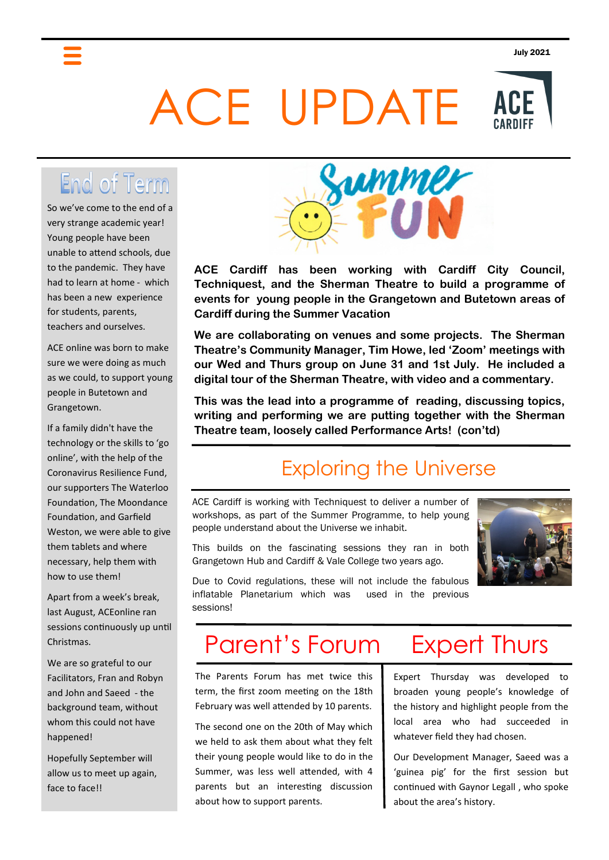# ACE UPDATE



So we've come to the end of a very strange academic year! Young people have been unable to attend schools, due to the pandemic. They have had to learn at home - which has been a new experience for students, parents, teachers and ourselves.

ACE online was born to make sure we were doing as much as we could, to support young people in Butetown and Grangetown.

If a family didn't have the technology or the skills to 'go online', with the help of the Coronavirus Resilience Fund, our supporters The Waterloo Foundation, The Moondance Foundation, and Garfield Weston, we were able to give them tablets and where necessary, help them with how to use them!

Apart from a week's break, last August, ACEonline ran sessions continuously up until Christmas.

We are so grateful to our Facilitators, Fran and Robyn and John and Saeed - the background team, without whom this could not have happened!

Hopefully September will allow us to meet up again, face to face!!



**ACE Cardiff has been working with Cardiff City Council, Techniquest, and the Sherman Theatre to build a programme of events for young people in the Grangetown and Butetown areas of Cardiff during the Summer Vacation**

**We are collaborating on venues and some projects. The Sherman Theatre's Community Manager, Tim Howe, led 'Zoom' meetings with our Wed and Thurs group on June 31 and 1st July. He included a digital tour of the Sherman Theatre, with video and a commentary.**

**This was the lead into a programme of reading, discussing topics, writing and performing we are putting together with the Sherman Theatre team, loosely called Performance Arts! (con'td)**

## Exploring the Universe

ACE Cardiff is working with Techniquest to deliver a number of workshops, as part of the Summer Programme, to help young people understand about the Universe we inhabit.

This builds on the fascinating sessions they ran in both Grangetown Hub and Cardiff & Vale College two years ago.



Due to Covid regulations, these will not include the fabulous inflatable Planetarium which was used in the previous sessions!

# Parent's Forum

The Parents Forum has met twice this term, the first zoom meeting on the 18th February was well attended by 10 parents.

The second one on the 20th of May which we held to ask them about what they felt their young people would like to do in the Summer, was less well attended, with 4 parents but an interesting discussion about how to support parents.

# Expert Thurs

Expert Thursday was developed to broaden young people's knowledge of the history and highlight people from the local area who had succeeded in whatever field they had chosen.

Our Development Manager, Saeed was a 'guinea pig' for the first session but continued with Gaynor Legall , who spoke about the area's history.